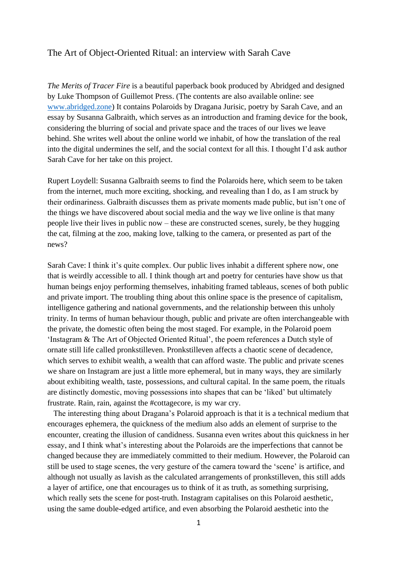## The Art of Object-Oriented Ritual: an interview with Sarah Cave

*The Merits of Tracer Fire* is a beautiful paperback book produced by Abridged and designed by Luke Thompson of Guillemot Press. (The contents are also available online: see [www.abridged.zone\)](http://www.abridged.zone/) It contains Polaroids by Dragana Jurisic, poetry by Sarah Cave, and an essay by Susanna Galbraith, which serves as an introduction and framing device for the book, considering the blurring of social and private space and the traces of our lives we leave behind. She writes well about the online world we inhabit, of how the translation of the real into the digital undermines the self, and the social context for all this. I thought I'd ask author Sarah Cave for her take on this project.

Rupert Loydell: Susanna Galbraith seems to find the Polaroids here, which seem to be taken from the internet, much more exciting, shocking, and revealing than I do, as I am struck by their ordinariness. Galbraith discusses them as private moments made public, but isn't one of the things we have discovered about social media and the way we live online is that many people live their lives in public now – these are constructed scenes, surely, be they hugging the cat, filming at the zoo, making love, talking to the camera, or presented as part of the news?

Sarah Cave: I think it's quite complex. Our public lives inhabit a different sphere now, one that is weirdly accessible to all. I think though art and poetry for centuries have show us that human beings enjoy performing themselves, inhabiting framed tableaus, scenes of both public and private import. The troubling thing about this online space is the presence of capitalism, intelligence gathering and national governments, and the relationship between this unholy trinity. In terms of human behaviour though, public and private are often interchangeable with the private, the domestic often being the most staged. For example, in the Polaroid poem 'Instagram & The Art of Objected Oriented Ritual', the poem references a Dutch style of ornate still life called pronkstilleven. Pronkstilleven affects a chaotic scene of decadence, which serves to exhibit wealth, a wealth that can afford waste. The public and private scenes we share on Instagram are just a little more ephemeral, but in many ways, they are similarly about exhibiting wealth, taste, possessions, and cultural capital. In the same poem, the rituals are distinctly domestic, moving possessions into shapes that can be 'liked' but ultimately frustrate. Rain, rain, against the #cottagecore, is my war cry.

 The interesting thing about Dragana's Polaroid approach is that it is a technical medium that encourages ephemera, the quickness of the medium also adds an element of surprise to the encounter, creating the illusion of candidness. Susanna even writes about this quickness in her essay, and I think what's interesting about the Polaroids are the imperfections that cannot be changed because they are immediately committed to their medium. However, the Polaroid can still be used to stage scenes, the very gesture of the camera toward the 'scene' is artifice, and although not usually as lavish as the calculated arrangements of pronkstilleven, this still adds a layer of artifice, one that encourages us to think of it as truth, as something surprising, which really sets the scene for post-truth. Instagram capitalises on this Polaroid aesthetic, using the same double-edged artifice, and even absorbing the Polaroid aesthetic into the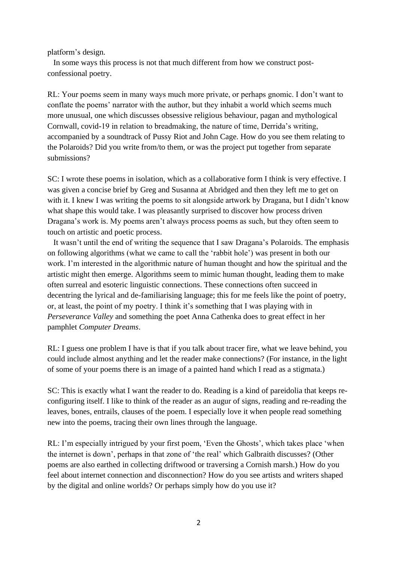platform's design.

 In some ways this process is not that much different from how we construct postconfessional poetry.

RL: Your poems seem in many ways much more private, or perhaps gnomic. I don't want to conflate the poems' narrator with the author, but they inhabit a world which seems much more unusual, one which discusses obsessive religious behaviour, pagan and mythological Cornwall, covid-19 in relation to breadmaking, the nature of time, Derrida's writing, accompanied by a soundtrack of Pussy Riot and John Cage. How do you see them relating to the Polaroids? Did you write from/to them, or was the project put together from separate submissions?

SC: I wrote these poems in isolation, which as a collaborative form I think is very effective. I was given a concise brief by Greg and Susanna at Abridged and then they left me to get on with it. I knew I was writing the poems to sit alongside artwork by Dragana, but I didn't know what shape this would take. I was pleasantly surprised to discover how process driven Dragana's work is. My poems aren't always process poems as such, but they often seem to touch on artistic and poetic process.

 It wasn't until the end of writing the sequence that I saw Dragana's Polaroids. The emphasis on following algorithms (what we came to call the 'rabbit hole') was present in both our work. I'm interested in the algorithmic nature of human thought and how the spiritual and the artistic might then emerge. Algorithms seem to mimic human thought, leading them to make often surreal and esoteric linguistic connections. These connections often succeed in decentring the lyrical and de-familiarising language; this for me feels like the point of poetry, or, at least, the point of my poetry. I think it's something that I was playing with in *Perseverance Valley* and something the poet Anna Cathenka does to great effect in her pamphlet *Computer Dreams*.

RL: I guess one problem I have is that if you talk about tracer fire, what we leave behind, you could include almost anything and let the reader make connections? (For instance, in the light of some of your poems there is an image of a painted hand which I read as a stigmata.)

SC: This is exactly what I want the reader to do. Reading is a kind of pareidolia that keeps reconfiguring itself. I like to think of the reader as an augur of signs, reading and re-reading the leaves, bones, entrails, clauses of the poem. I especially love it when people read something new into the poems, tracing their own lines through the language.

RL: I'm especially intrigued by your first poem, 'Even the Ghosts', which takes place 'when the internet is down', perhaps in that zone of 'the real' which Galbraith discusses? (Other poems are also earthed in collecting driftwood or traversing a Cornish marsh.) How do you feel about internet connection and disconnection? How do you see artists and writers shaped by the digital and online worlds? Or perhaps simply how do you use it?